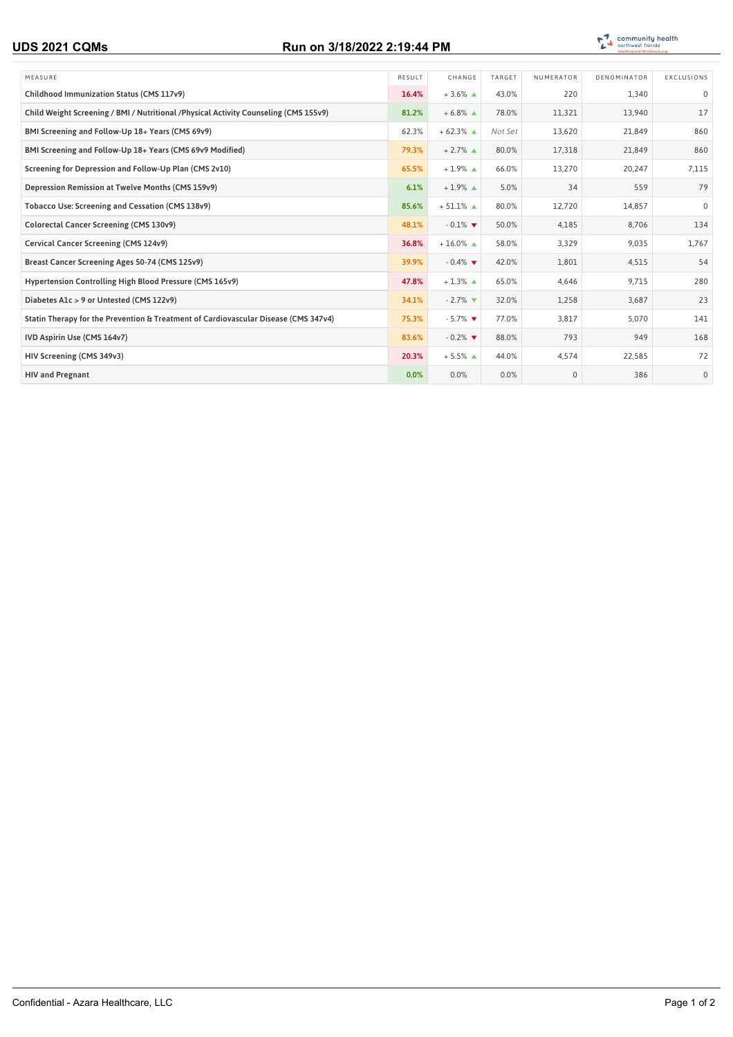## **UDS 2021 CQMs Run on 3/18/2022 2:19:44 PM**



| MEASURE                                                                               | RESULT | CHANGE                | TARGET  | NUMERATOR | DENOMINATOR | EXCLUSIONS   |
|---------------------------------------------------------------------------------------|--------|-----------------------|---------|-----------|-------------|--------------|
| Childhood Immunization Status (CMS 117v9)                                             | 16.4%  | $+3.6\%$ $\triangle$  | 43.0%   | 220       | 1,340       | $\mathbf 0$  |
| Child Weight Screening / BMI / Nutritional / Physical Activity Counseling (CMS 155v9) | 81.2%  | $+6.8\%$ $\triangle$  | 78.0%   | 11,321    | 13,940      | 17           |
| BMI Screening and Follow-Up 18+ Years (CMS 69v9)                                      | 62.3%  | $+62.3%$ $\triangle$  | Not Set | 13,620    | 21,849      | 860          |
| BMI Screening and Follow-Up 18+ Years (CMS 69v9 Modified)                             | 79.3%  | $+2.7\%$ $\triangle$  | 80.0%   | 17,318    | 21,849      | 860          |
| Screening for Depression and Follow-Up Plan (CMS 2v10)                                | 65.5%  | $+1.9\%$ $\triangle$  | 66.0%   | 13,270    | 20,247      | 7,115        |
| Depression Remission at Twelve Months (CMS 159v9)                                     | 6.1%   | $+1.9\%$ $\triangle$  | 5.0%    | 34        | 559         | 79           |
| Tobacco Use: Screening and Cessation (CMS 138v9)                                      | 85.6%  | $+51.1\%$ $\triangle$ | 80.0%   | 12,720    | 14,857      | $\mathbf 0$  |
| Colorectal Cancer Screening (CMS 130v9)                                               | 48.1%  | $-0.1\%$              | 50.0%   | 4,185     | 8,706       | 134          |
| Cervical Cancer Screening (CMS 124v9)                                                 | 36.8%  | $+16.0\%$ $\triangle$ | 58.0%   | 3,329     | 9.035       | 1,767        |
| Breast Cancer Screening Ages 50-74 (CMS 125v9)                                        | 39.9%  | $-0.4\%$              | 42.0%   | 1,801     | 4,515       | 54           |
| Hypertension Controlling High Blood Pressure (CMS 165v9)                              | 47.8%  | $+1.3\%$ $\triangle$  | 65.0%   | 4,646     | 9,715       | 280          |
| Diabetes A1c > 9 or Untested (CMS 122v9)                                              | 34.1%  | $-2.7\%$              | 32.0%   | 1,258     | 3,687       | 23           |
| Statin Therapy for the Prevention & Treatment of Cardiovascular Disease (CMS 347v4)   | 75.3%  | $-5.7\%$              | 77.0%   | 3,817     | 5,070       | 141          |
| IVD Aspirin Use (CMS 164v7)                                                           | 83.6%  | $-0.2\%$              | 88.0%   | 793       | 949         | 168          |
| HIV Screening (CMS 349v3)                                                             | 20.3%  | $+5.5\%$ $\triangle$  | 44.0%   | 4,574     | 22,585      | 72           |
| <b>HIV and Pregnant</b>                                                               | 0.0%   | 0.0%                  | 0.0%    | $\Omega$  | 386         | $\mathbf{0}$ |